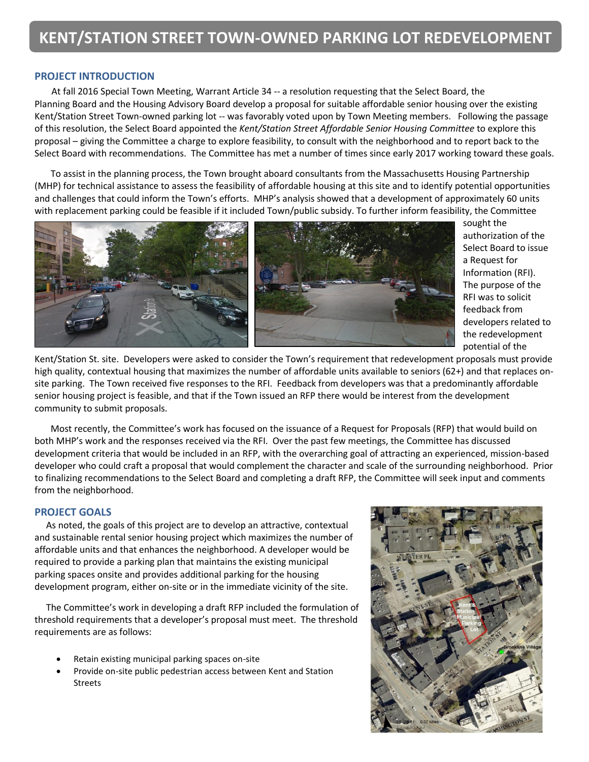# **PROJECT INTRODUCTION**

 At fall 2016 Special Town Meeting, Warrant Article 34 -- a resolution requesting that the Select Board, the Planning Board and the Housing Advisory Board develop a proposal for suitable affordable senior housing over the existing Kent/Station Street Town-owned parking lot -- was favorably voted upon by Town Meeting members. Following the passage of this resolution, the Select Board appointed the *Kent/Station Street Affordable Senior Housing Committee* to explore this proposal – giving the Committee a charge to explore feasibility, to consult with the neighborhood and to report back to the Select Board with recommendations. The Committee has met a number of times since early 2017 working toward these goals.

 To assist in the planning process, the Town brought aboard consultants from the Massachusetts Housing Partnership (MHP) for technical assistance to assess the feasibility of affordable housing at this site and to identify potential opportunities and challenges that could inform the Town's efforts. MHP's analysis showed that a development of approximately 60 units with replacement parking could be feasible if it included Town/public subsidy. To further inform feasibility, the Committee



sought the authorization of the Select Board to issue a Request for Information (RFI). The purpose of the RFI was to solicit feedback from developers related to the redevelopment potential of the

Kent/Station St. site. Developers were asked to consider the Town's requirement that redevelopment proposals must provide high quality, contextual housing that maximizes the number of affordable units available to seniors (62+) and that replaces onsite parking. The Town received five responses to the RFI. Feedback from developers was that a predominantly affordable senior housing project is feasible, and that if the Town issued an RFP there would be interest from the development community to submit proposals.

 Most recently, the Committee's work has focused on the issuance of a Request for Proposals (RFP) that would build on both MHP's work and the responses received via the RFI. Over the past few meetings, the Committee has discussed development criteria that would be included in an RFP, with the overarching goal of attracting an experienced, mission-based developer who could craft a proposal that would complement the character and scale of the surrounding neighborhood. Prior to finalizing recommendations to the Select Board and completing a draft RFP, the Committee will seek input and comments from the neighborhood.

### **PROJECT GOALS**

As noted, the goals of this project are to develop an attractive, contextual and sustainable rental senior housing project which maximizes the number of affordable units and that enhances the neighborhood. A developer would be required to provide a parking plan that maintains the existing municipal parking spaces onsite and provides additional parking for the housing development program, either on-site or in the immediate vicinity of the site.

 The Committee's work in developing a draft RFP included the formulation of threshold requirements that a developer's proposal must meet. The threshold requirements are as follows:

- Retain existing municipal parking spaces on-site
- Provide on-site public pedestrian access between Kent and Station Streets